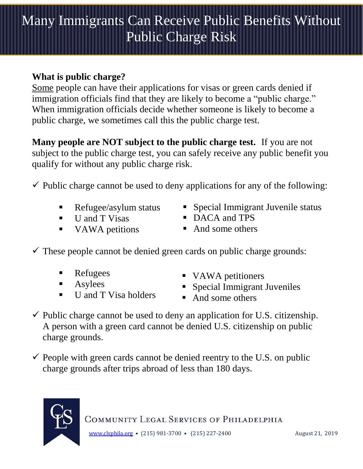## Many Immigrants Can Receive Public Benefits Without Public Charge Risk

## **What is public charge?**

Some people can have their applications for visas or green cards denied if immigration officials find that they are likely to become a "public charge." When immigration officials decide whether someone is likely to become a public charge, we sometimes call this the public charge test.

**Many people are NOT subject to the public charge test.** If you are not subject to the public charge test, you can safely receive any public benefit you qualify for without any public charge risk.

 $\checkmark$  Public charge cannot be used to deny applications for any of the following:

- Refugee/asylum status
- U and T Visas
- VAWA petitions
- Special Immigrant Juvenile status
- DACA and TPS
- And some others

 $\checkmark$  These people cannot be denied green cards on public charge grounds:

- **Refugees**
- **Asylees**
- U and T Visa holders
- VAWA petitioners
- **Special Immigrant Juveniles**
- And some others
- $\checkmark$  Public charge cannot be used to deny an application for U.S. citizenship. A person with a green card cannot be denied U.S. citizenship on public charge grounds.
- $\checkmark$  People with green cards cannot be denied reentry to the U.S. on public charge grounds after trips abroad of less than 180 days.